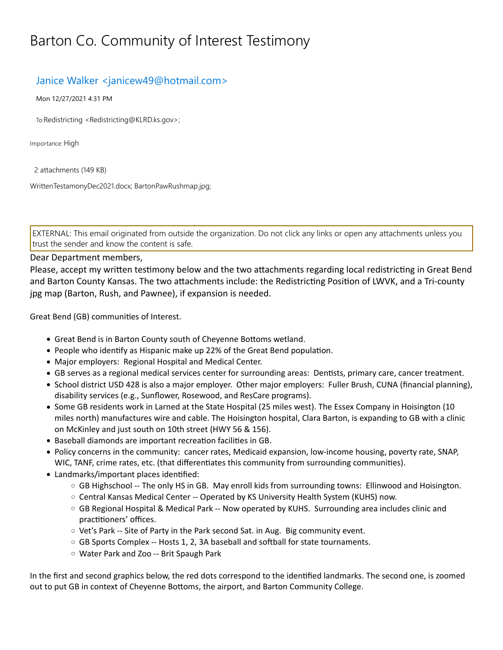## Barton Co. Community of Interest Testimony

## Janice Walker <janicew49@hotmail.com>

Mon 12/27/2021 4:31 PM

To:Redistricting <Redistricting@KLRD.ks.gov>;

Importance: High

2 attachments (149 KB)

WrittenTestamonyDec2021.docx; BartonPawRushmap.jpg;

EXTERNAL: This email originated from outside the organization. Do not click any links or open any attachments unless you trust the sender and know the content is safe.

Dear Department members,

Please, accept my written testimony below and the two attachments regarding local redistricting in Great Bend and Barton County Kansas. The two attachments include: the Redistricting Position of LWVK, and a Tri-county jpg map (Barton, Rush, and Pawnee), if expansion is needed.

Great Bend (GB) communities of Interest.

- Great Bend is in Barton County south of Cheyenne Bottoms wetland.
- People who identify as Hispanic make up 22% of the Great Bend population.
- Major employers: Regional Hospital and Medical Center.
- GB serves as a regional medical services center for surrounding areas: Dentists, primary care, cancer treatment.
- School district USD 428 is also a major employer. Other major employers: Fuller Brush, CUNA (financial planning), disability services (e.g., Sunflower, Rosewood, and ResCare programs).
- Some GB residents work in Larned at the State Hospital (25 miles west). The Essex Company in Hoisington (10 miles north) manufactures wire and cable. The Hoisington hospital, Clara Barton, is expanding to GB with a clinic on McKinley and just south on 10th street (HWY 56 & 156).
- Baseball diamonds are important recreation facilities in GB.
- Policy concerns in the community: cancer rates, Medicaid expansion, low‐income housing, poverty rate, SNAP, WIC, TANF, crime rates, etc. (that differentiates this community from surrounding communities).
- Landmarks/important places identified:
	- $\circ$  GB Highschool -- The only HS in GB. May enroll kids from surrounding towns: Ellinwood and Hoisington.
	- Central Kansas Medical Center -- Operated by KS University Health System (KUHS) now.
	- GB Regional Hospital & Medical Park -- Now operated by KUHS. Surrounding area includes clinic and practitioners' offices.
	- Vet's Park -- Site of Party in the Park second Sat. in Aug. Big community event.
	- $\circ$  GB Sports Complex -- Hosts 1, 2, 3A baseball and softball for state tournaments.
	- Water Park and Zoo ‐‐ Brit Spaugh Park

In the first and second graphics below, the red dots correspond to the identified landmarks. The second one, is zoomed out to put GB in context of Cheyenne Bottoms, the airport, and Barton Community College.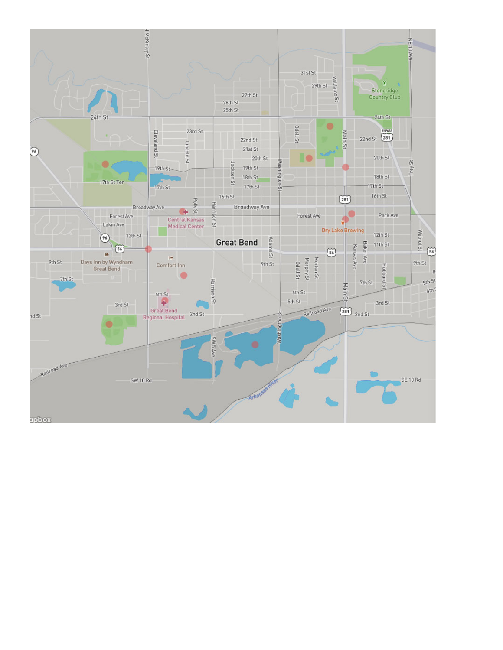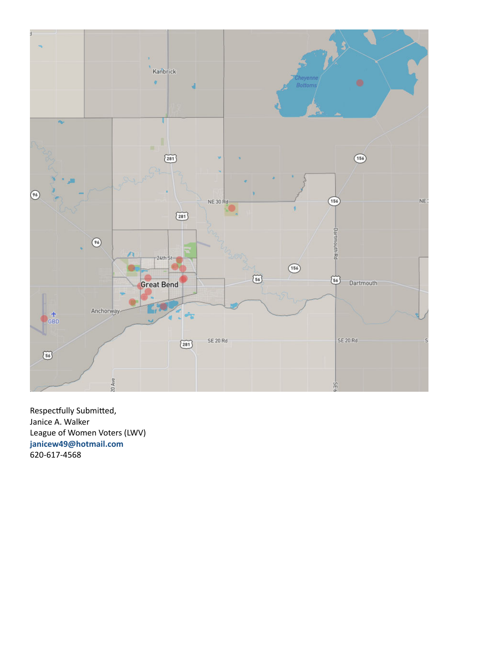

Respectfully Submitted, Janice A. Walker League of Women Voters (LWV) janicew49@hotmail.com 620-617-4568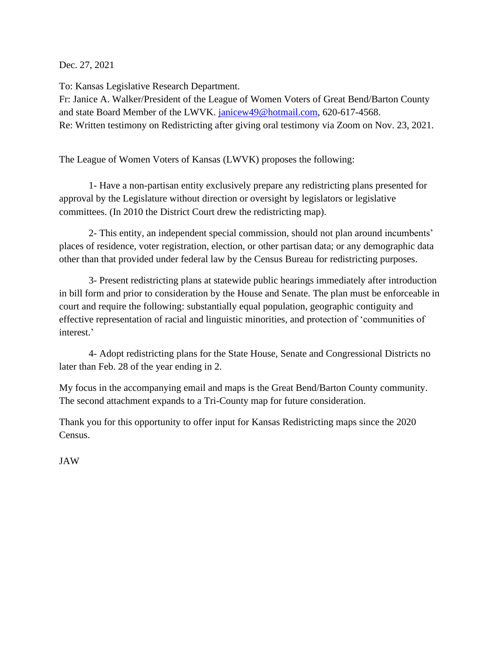Dec. 27, 2021

To: Kansas Legislative Research Department.

Fr: Janice A. Walker/President of the League of Women Voters of Great Bend/Barton County and state Board Member of the LWVK. [janicew49@hotmail.com,](mailto:janicew49@hotmail.com) 620-617-4568. Re: Written testimony on Redistricting after giving oral testimony via Zoom on Nov. 23, 2021.

The League of Women Voters of Kansas (LWVK) proposes the following:

1- Have a non-partisan entity exclusively prepare any redistricting plans presented for approval by the Legislature without direction or oversight by legislators or legislative committees. (In 2010 the District Court drew the redistricting map).

2- This entity, an independent special commission, should not plan around incumbents' places of residence, voter registration, election, or other partisan data; or any demographic data other than that provided under federal law by the Census Bureau for redistricting purposes.

3- Present redistricting plans at statewide public hearings immediately after introduction in bill form and prior to consideration by the House and Senate. The plan must be enforceable in court and require the following: substantially equal population, geographic contiguity and effective representation of racial and linguistic minorities, and protection of 'communities of interest.'

4- Adopt redistricting plans for the State House, Senate and Congressional Districts no later than Feb. 28 of the year ending in 2.

My focus in the accompanying email and maps is the Great Bend/Barton County community. The second attachment expands to a Tri-County map for future consideration.

Thank you for this opportunity to offer input for Kansas Redistricting maps since the 2020 Census.

JAW